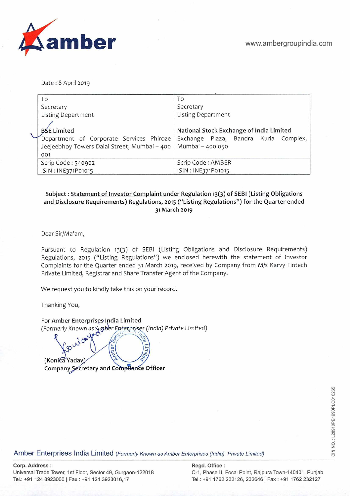

Date : 8 April 2019

| To                                           | To                                       |  |  |  |
|----------------------------------------------|------------------------------------------|--|--|--|
| Secretary                                    | Secretary                                |  |  |  |
| <b>Listing Department</b>                    | <b>Listing Department</b>                |  |  |  |
|                                              |                                          |  |  |  |
| <b>BSE Limited</b>                           | National Stock Exchange of India Limited |  |  |  |
| Department of Corporate Services Phiroze     | Exchange Plaza, Bandra Kurla Complex,    |  |  |  |
| Jeejeebhoy Towers Dalal Street, Mumbai - 400 | Mumbai - 400 050                         |  |  |  |
| 001                                          |                                          |  |  |  |
| Scrip Code: 540902                           | Scrip Code: AMBER                        |  |  |  |
| ISIN: INE371P01015                           | ISIN: INE371P01015                       |  |  |  |

# **Subject: Statement of Investor Complaint under Regulation 13(3) of SEBI (ListingObligations and Disclosure Requirements) Regulations, 2015 ("Listing Regulations") for the Quarter ended 31 March** 2019

Dear Sir/Ma'am,

Pursuant to Regulation 13(3) of SEBI (Listing Obligations and Disclosure Requirements) Regulations, 2015 ("Listing Regulations") we enclosed herewith the statement of Investor Complaints for the Quarter ended 31 March 2019, received by Company from M/s Karvy Fintech Private Limited, Registrar and Share Transfer Agent of the Company.

We request you to kindly take this on your record.

Thanking You,

For Amber Enterprises India Limited (Formerly *Known as F,n* rpr *s (India)* Private Limited)

wicar mber **(Konica Yadav) Company Secretary and Compliance Officer** 

**Amber Enterprises India Limited** (Formerly Known as Amber Enterprises (India) Private Limited)

## **Corp. Address: Regd. Office:**

Universal Trade Tower, 1st Floor, Sector 49, Gurgaon-122018 C-1, Phase II, Focal Point, Rajpura Town-140401, Punjab

Tel.: +91 124 3923000 I Fax: +91 124 3923016,17 Tel.: +91 1762 232126, 232646 I Fax: +91 1762 232127